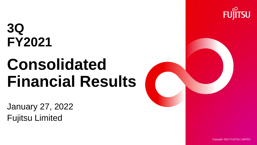# **3Q FY2021**

# **Consolidated Financial Results**

January 27, 2022 Fujitsu Limited





Copyright 2022 FUJITSU LIMITED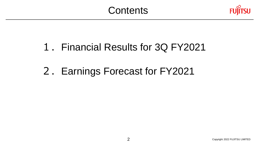

# 2.Earnings Forecast for FY2021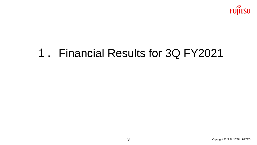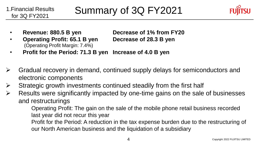

- 
- **Operating Profit: 65.1 B yen Decrease of 28.3 B yen** (Operating Profit Margin: 7.4%)

• **Revenue: 880.5 B yen Decrease of 1% from FY20**

- **Profit for the Period: 71.3 B yen Increase of 4.0 B yen**
- ➢ Gradual recovery in demand, continued supply delays for semiconductors and electronic components
- $\triangleright$  Strategic growth investments continued steadily from the first half
- $\triangleright$  Results were significantly impacted by one-time gains on the sale of businesses and restructurings

Operating Profit: The gain on the sale of the mobile phone retail business recorded last year did not recur this year

Profit for the Period: A reduction in the tax expense burden due to the restructuring of our North American business and the liquidation of a subsidiary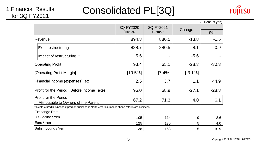Consolidated PL[3Q]



|                                                                      |                       |                       |           | (Billions of yen) |
|----------------------------------------------------------------------|-----------------------|-----------------------|-----------|-------------------|
|                                                                      | 3Q FY2020<br>(Actual) | 3Q FY2021<br>(Actual) | Change    | (%)               |
|                                                                      |                       |                       |           |                   |
| Revenue                                                              | 894.3                 | 880.5                 | $-13.8$   | $-1.5$            |
| Excl. restructuring                                                  | 888.7                 | 880.5                 | $-8.1$    | $-0.9$            |
| Impact of restructuring *                                            | 5.6                   |                       | $-5.6$    |                   |
| <b>Operating Profit</b>                                              | 93.4                  | 65.1                  | $-28.3$   | $-30.3$           |
| [Operating Profit Margin]                                            | $[10.5\%]$            | [7.4%]                | $[-3.1%]$ |                   |
| Financial income (expenses), etc                                     | 2.5                   | 3.7                   | 1.1       | 44.9              |
| Profit for the Period Before Income Taxes                            | 96.0                  | 68.9                  | $-27.1$   | $-28.3$           |
| <b>Profit for the Period</b><br>Attributable to Owners of the Parent | 67.2                  | 71.3                  | 4.0       | 6.1               |

\* Restructured businesses: product business in North America, mobile phone retail store business.

#### Exchange Rate

| U.S. dollar / Yen   | 105 | 114 |    | $\Omega$<br>o.o |
|---------------------|-----|-----|----|-----------------|
| Euro / Yen          | 125 | 130 |    | 4.G             |
| British pound / Yen | 138 | 153 | 15 | 10.9            |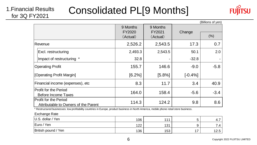# Consolidated PL[9 Months]



|                                                                      |                      |         |           | (Billions of yen) |
|----------------------------------------------------------------------|----------------------|---------|-----------|-------------------|
|                                                                      | 9 Months<br>FY2020   | Change  |           |                   |
|                                                                      | (Actual)<br>(Actual) |         | (%)       |                   |
| Revenue                                                              | 2,526.2              | 2,543.5 | 17.3      | 0.7               |
| Excl. restructuring                                                  | 2,493.3              | 2,543.5 | 50.1      | 2.0               |
| Impact of restructuring *                                            | 32.8                 |         | $-32.8$   |                   |
| <b>Operating Profit</b>                                              | 155.7                | 146.6   | $-9.0$    | $-5.8$            |
| [Operating Profit Margin]                                            | [6.2%]               | [5.8%]  | $[-0.4%]$ |                   |
| Financial income (expenses), etc                                     | 8.3                  | 11.7    | 3.4       | 40.9              |
| <b>Profit for the Period</b>                                         | 164.0                | 158.4   | $-5.6$    | $-3.4$            |
| Before Income Taxes                                                  |                      |         |           |                   |
| <b>Profit for the Period</b><br>Attributable to Owners of the Parent | 114.3                | 124.2   | 9.8       | 8.6               |

\* Restructured businesses: low profitability countries in Europe, product business in North America, mobile phone retail store business.

#### Exchange Rate

1.Financial Results for 3Q FY2021

| $ U.S.$ dollar / Yen | 106 | 444 |     | 4.1           |
|----------------------|-----|-----|-----|---------------|
| Euro / Yen           | 122 | 131 |     | -<br>.4       |
| British pound / Yen  | 136 | 153 | . – | 1つ ち<br>C.⊇ I |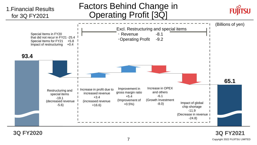

**3Q FY2020 3Q FY2021**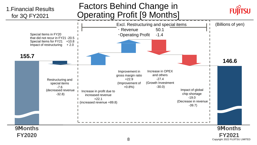

8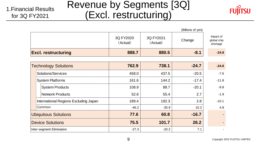# Revenue by Segments [3Q] (Excl. restructuring)



|                                       |                       |                       | (Billions of yen) |                                      |
|---------------------------------------|-----------------------|-----------------------|-------------------|--------------------------------------|
|                                       | 3Q FY2020<br>(Actual) | 3Q FY2021<br>(Actual) | Change            | Impact of<br>global chip<br>shortage |
| <b>Excl. restructuring</b>            | 888.7                 | 880.5                 | $-8.1$            | $-24.8$                              |
|                                       |                       |                       |                   |                                      |
| <b>Technology Solutions</b>           | 762.9                 | 738.1                 | $-24.7$           | $-24.8$                              |
| Solutions/Services                    | 458.0                 | 437.5                 | $-20.5$           | $-7.6$                               |
| <b>System Platforms</b>               | 161.6                 | 144.2                 | $-17.4$           | $-11.8$                              |
| <b>System Products</b>                | 108.9                 | 88.7                  | $-20.1$           | $-9.8$                               |
| <b>Network Products</b>               | 52.6                  | 55.4                  | 2.7               | $-1.9$                               |
| International Regions Excluding Japan | 189.4                 | 192.3                 | 2.8               | $-10.1$                              |
| Common                                | $-46.2$               | $-35.9$               | 10.2              | 4.8                                  |
| <b>Ubiquitous Solutions</b>           | 77.6                  | 60.8                  | $-16.7$           |                                      |
| <b>Device Solutions</b>               | 75.5                  | 101.7                 | 26.2              |                                      |
| Inter-segment Elimination             | $-27.3$               | $-20.2$               | 7.1               |                                      |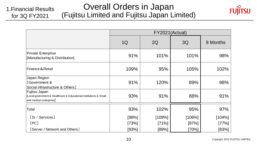#### Overall Orders in Japan (Fujitsu Limited and Fujitsu Japan Limited) 1.Financial Results for 3Q FY2021



|                                                                                                              | FY2021(Actual) |        |           |          |  |
|--------------------------------------------------------------------------------------------------------------|----------------|--------|-----------|----------|--|
|                                                                                                              | 1Q             | 2Q     | 3Q        | 9 Months |  |
| <b>Private Enterprise</b><br>[Manufacturing & Distribution]                                                  | 91%            | 101%   | 101%      | 98%      |  |
| Finance & Retail                                                                                             | 109%           | 95%    | 105%      | 102%     |  |
| Japan Region<br>[Government &<br>Social infrastructure & Others]                                             | 91%            | 120%   | 89%       | 98%      |  |
| Fujitsu Japan<br>[Local government & Healthcare & Educational institutions & Small<br>and medium enterprise] | 93%            | 91%    | 88%       | 91%      |  |
| Total                                                                                                        | 93%            | 102%   | 95%       | 97%      |  |
| [SI / Services]                                                                                              | [98%]          | [109%] | $[106\%]$ | [104%]   |  |
| [PC]                                                                                                         | $[73\%]$       | [71%]  | [87%]     | [77%]    |  |
| [Server / Network and Others]                                                                                | [93%]          | [89%]  | [70%]     | [83%]    |  |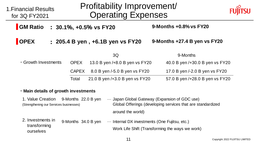| 1. Financial Results<br>for 3Q FY2021                                               | Profitability Improvement/<br><b>Operating Expenses</b>                                                    |                                             |                                                 |  |
|-------------------------------------------------------------------------------------|------------------------------------------------------------------------------------------------------------|---------------------------------------------|-------------------------------------------------|--|
| <b>GM Ratio</b>                                                                     |                                                                                                            | : 30.1%, +0.5% vs FY20                      | 9-Months +0.8% vs FY20                          |  |
| <b>OPEX</b>                                                                         |                                                                                                            | : 205.4 B yen, +6.1B yen vs FY20            | 9-Months $+27.4$ B yen vs $FY20$                |  |
|                                                                                     |                                                                                                            | 3Q                                          | 9-Months                                        |  |
| • Growth Investments                                                                | <b>OPEX</b>                                                                                                | 13.0 B yen /+8.0 B yen vs FY20              | 40.0 B yen /+30.0 B yen vs FY20                 |  |
|                                                                                     | <b>CAPEX</b>                                                                                               | 8.0 B yen /-5.0 B yen vs FY20               | 17.0 B yen /-2.0 B yen vs FY20                  |  |
|                                                                                     | Total                                                                                                      | 21.0 B yen /+3.0 B yen vs FY20              | 57.0 B yen /+28.0 B yen vs FY20                 |  |
| . Main details of growth investments                                                |                                                                                                            |                                             |                                                 |  |
| 1. Value Creation<br>9-Months 22.0 B yen<br>(Strengthening our Services businesses) | Japan Global Gateway (Expansion of GDC use)<br>Global Offerings (developing services that are standardized |                                             |                                                 |  |
|                                                                                     |                                                                                                            | around the world)                           |                                                 |  |
| 2. Investments in<br>transforming<br>ourselves                                      | 9-Months 34.0 B yen                                                                                        | Internal DX investments (One Fujitsu, etc.) | Work Life Shift (Transforming the ways we work) |  |
|                                                                                     |                                                                                                            |                                             |                                                 |  |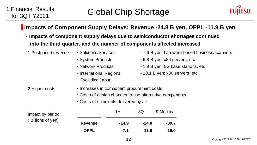

### **Impacts of Component Supply Delays: Revenue -24.8 B yen, OPPL -11.9 B yen**

**・Impacts of component supply delays due to semiconductor shortages continued into the third quarter, and the number of components affected increased**

|                                                                                                                                                                   |                                                                         | 12      |         |                                                                       | Copyright 2022 FUJ |
|-------------------------------------------------------------------------------------------------------------------------------------------------------------------|-------------------------------------------------------------------------|---------|---------|-----------------------------------------------------------------------|--------------------|
|                                                                                                                                                                   | <b>OPPL</b>                                                             | $-7.1$  | $-11.9$ | $-19.0$                                                               |                    |
| Billions of yen)                                                                                                                                                  | <b>Revenue</b>                                                          | $-14.9$ | $-24.8$ | $-39.7$                                                               |                    |
| Impact by period                                                                                                                                                  |                                                                         | 1H      | 3Q      | 9-Months                                                              |                    |
| . Increases in component procurement costs<br>2. Higher costs<br>. Costs of design changes to use alternative components<br>. Costs of shipments delivered by air |                                                                         |         |         |                                                                       |                    |
|                                                                                                                                                                   | • Network Products<br>· International Regions<br><b>Excluding Japan</b> |         |         | - 1.9 B yen: 5G base stations, etc.<br>- 10.1 B yen: x86 servers, etc |                    |
|                                                                                                                                                                   | · System Products                                                       |         |         | - 9.8 B yen: x86 servers, etc                                         |                    |
| 1. Postponed revenue                                                                                                                                              | · Solutions/Services                                                    |         |         | - 7.6 B yen: hardware-based business/scanners                         |                    |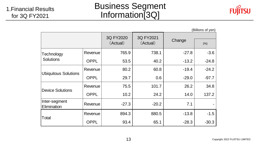# Business Segment Information[3Q]



|                              |             |                       |                       |         | (Billions of yen) |
|------------------------------|-------------|-----------------------|-----------------------|---------|-------------------|
|                              |             | 3Q FY2020<br>(Actual) | 3Q FY2021<br>(Actual) | Change  | (% )              |
| Technology                   | Revenue     | 765.9                 | 738.1                 | $-27.8$ | $-3.6$            |
| <b>Solutions</b>             | <b>OPPL</b> | 53.5                  | 40.2                  | $-13.2$ | $-24.8$           |
|                              | Revenue     | 80.2                  | 60.8                  | $-19.4$ | $-24.2$           |
| <b>Ubiquitous Solutions</b>  | <b>OPPL</b> | 29.7                  | 0.6                   | $-29.0$ | $-97.7$           |
| Device Solutions             | Revenue     | 75.5                  | 101.7                 | 26.2    | 34.8              |
|                              | <b>OPPL</b> | 10.2                  | 24.2                  | 14.0    | 137.2             |
| Inter-segment<br>Elimination | Revenue     | $-27.3$               | $-20.2$               | 7.1     |                   |
|                              | Revenue     | 894.3                 | 880.5                 | $-13.8$ | $-1.5$            |
| Total                        | <b>OPPL</b> | 93.4                  | 65.1                  | $-28.3$ | $-30.3$           |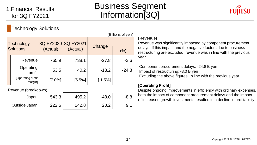# Business Segment Information[3Q]



### Technology Solutions

| (Billions of yen)       |                               |                                 |          |           |         |  |  |
|-------------------------|-------------------------------|---------------------------------|----------|-----------|---------|--|--|
| Technology<br>Solutions |                               | 3Q FY2020 3Q FY2021<br>(Actual) | (Actual) | Change    | (% )    |  |  |
|                         | Revenue                       | 765.9                           | 738.1    | $-27.8$   | $-3.6$  |  |  |
|                         | Operating<br>profit           | 53.5                            | 40.2     | $-13.2$   | $-24.8$ |  |  |
|                         | [Operating profit]<br>margin] | [7.0%]                          | [5.5%]   | $[-1.5%]$ |         |  |  |

Revenue (breakdown)

| Japan         | 543.3 | 495.2 | $-48.0$ | $-8.8$ |
|---------------|-------|-------|---------|--------|
| Outside Japan | 222.5 | 242.8 | 20.2    |        |

### **[Revenue]**

Revenue was significantly impacted by component procurement delays. If this impact and the negative factors due to business restructuring are excluded, revenue was in line with the previous year

Component procurement delays: -24.8 B yen Impact of restructuring: -3.0 B yen Excluding the above figures: In line with the previous year

### **[Operating Profit]**

Despite ongoing improvements in efficiency with ordinary expenses, both the impact of component procurement delays and the impact of increased growth investments resulted in a decline in profitability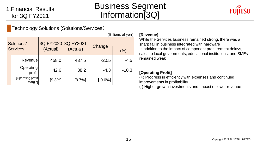# Business Segment Information[3Q]



### Technology Solutions (Solutions/Services)

| (Billions of yen)      |                               |                      |        |           |         |  |  |
|------------------------|-------------------------------|----------------------|--------|-----------|---------|--|--|
| Solutions/<br>Services |                               | 3Q FY2020 3Q FY2021  |        |           |         |  |  |
|                        |                               | (Actual)<br>(Actual) |        | Change    | (% )    |  |  |
|                        | Revenue                       | 458.0                | 437.5  | $-20.5$   | $-4.5$  |  |  |
|                        | Operating<br>profit           | 42.6                 | 38.2   | $-4.3$    | $-10.3$ |  |  |
|                        | [Operating profit]<br>margin] | [9.3%]               | [8.7%] | $[-0.6%]$ |         |  |  |

### **[Revenue]**

While the Services business remained strong, there was a sharp fall in business integrated with hardware In addition to the impact of component procurement delays, sales to local governments, educational institutions, and SMEs remained weak

### **[Operating Profit]**

(+) Progress in efficiency with expenses and continued improvements in profitability

(-) Higher growth investments and Impact of lower revenue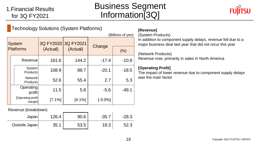## Business Segment Information[3Q]



|                  | <b>Technology Solutions (System Platforms)</b> |           |           |            |         |  |  |  |  |
|------------------|------------------------------------------------|-----------|-----------|------------|---------|--|--|--|--|
|                  | (Billions of yen)                              |           |           |            |         |  |  |  |  |
|                  | <b>System</b>                                  | 3Q FY2020 | 3Q FY2021 | Change     |         |  |  |  |  |
| <b>Platforms</b> |                                                | (Actual)  | (Actual)  |            | (% )    |  |  |  |  |
|                  | Revenue                                        | 161.6     | 144.2     | $-17.4$    | $-10.8$ |  |  |  |  |
|                  | System<br>Products                             | 108.9     | 88.7      | $-20.1$    | $-18.5$ |  |  |  |  |
|                  | <b>Network</b><br><b>Products</b>              | 52.6      | 55.4      | 2.7        | 5.3     |  |  |  |  |
|                  | Operating<br>profit                            | 11.5      | 5.8       | $-5.6$     | $-49.1$ |  |  |  |  |
|                  | [Operating profit]<br>margin]                  | [7.1%]    | [4.1%]    | $[-3.0\%]$ |         |  |  |  |  |

Revenue (breakdown)

| Japan         | 126.4 | 90.6 | $-35.7$ | $-28.3$ |
|---------------|-------|------|---------|---------|
| Outside Japan | 35.1  | 53.5 | 18.3    | 52.3    |

### **[Revenue]**

(System Products)

In addition to component supply delays, revenue fell due to a major business deal last year that did not recur this year

#### (Network Products)

Revenue rose, primarily in sales in North America

### **[Operating Profit]**

The impact of lower revenue due to component supply delays was the main factor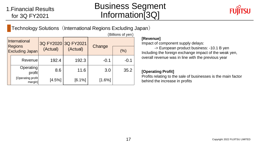# Business Segment Information[3Q]

 $(D)$ lliang of  $var$ 



Technology Solutions (International Regions Excluding Japan)

| International<br><b>Regions</b><br><b>Excluding Japan</b> |                               | 3Q FY2020 3Q FY2021<br>(Actual) | (Actual) | Change | (% )   |  |  |  |
|-----------------------------------------------------------|-------------------------------|---------------------------------|----------|--------|--------|--|--|--|
|                                                           | Revenue                       | 192.4                           | 192.3    | $-0.1$ | $-0.1$ |  |  |  |
|                                                           | Operating<br>profit           | 8.6                             | 11.6     | 3.0    | 35.2   |  |  |  |
|                                                           | [Operating profit]<br>margin] | [4.5%]                          | [6.1%]   | [1.6%] |        |  |  |  |

**[Revenue]**

Impact of component supply delays:

-> European product business: -10.1 B yen Including the foreign exchange impact of the weak yen, overall revenue was in line with the previous year

### **[Operating Profit]**

Profits relating to the sale of businesses is the main factor behind the increase in profits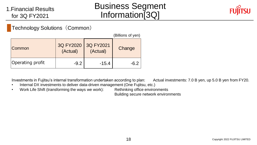# Business Segment Information[3Q]



Technology Solutions (Common)

|                  |                       |                       | (Billions of yen) |
|------------------|-----------------------|-----------------------|-------------------|
| Common           | 3Q FY2020<br>(Actual) | 3Q FY2021<br>(Actual) | Change            |
| Operating profit | $-9.2$                | $-15.4$               | $-6.2$            |

Investments in Fujitsu's internal transformation undertaken according to plan: Actual investments: 7.0 B yen, up 5.0 B yen from FY20.

- Internal DX investments to deliver data-driven management (One Fujitsu, etc.)
- Work Life Shift (transforming the ways we work): Rethinking office environments

Building secure network environments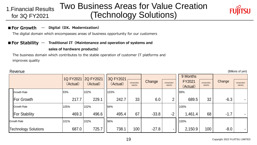#### Two Business Areas for Value Creation (Technology Solutions) 1.Financial Results for 3Q FY2021



#### **■For Growth … Digital(DX、Modernization)**

The digital domain which encompasses areas of business opportunity for our customers

### **■For Stability … Traditional IT(Maintenance and operation of systems and**

#### **sales of hardware products)**

The business domain which contributes to the stable operation of customer IT platforms and improves quality

| Revenue<br>(Billions of yen) |           |           |           |                            |         |                            |                    |                            |        |                            |
|------------------------------|-----------|-----------|-----------|----------------------------|---------|----------------------------|--------------------|----------------------------|--------|----------------------------|
|                              | 1Q FY2021 | 2Q FY2021 | 3Q FY2021 |                            |         |                            | 9 Months           |                            |        |                            |
|                              | (Actual)  | (Actual)  | (Actual)  | composition<br>$ratio(\%)$ | Change  | composition<br>$ratio(\%)$ | FY2021<br>(Actual) | composition<br>$ratio(\%)$ | Change | composition<br>$ratio(\%)$ |
| <b>Growth Rate</b>           | 93%       | 102%      | 103%      |                            |         |                            | 99%                |                            |        |                            |
| For Growth                   | 217.7     | 229.1     | 242.7     | 33                         | 6.0     | $\overline{2}$             | 689.5              | 32                         | $-6.3$ |                            |
| <b>Growth Rate</b>           | 105%      | 102%      | 94%       |                            |         |                            | 100%               |                            |        |                            |
| <b>For Stability</b>         | 469.3     | 496.6     | 495.4     | 67                         | $-33.8$ | $-2$                       | 1,461.4            | 68                         | $-1.7$ |                            |
| <b>Growth Rate</b>           | 101%      | 102%      | 96%       |                            |         |                            | 100%               |                            |        |                            |
| <b>Technology Solutions</b>  | 687.0     | 725.7     | 738.1     | 100                        | $-27.8$ | $\blacksquare$             | 2,150.9            | 100                        | $-8.0$ |                            |

#### Copyright 2022 FUJITSU LIMITED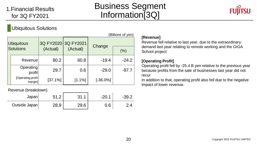# Business Segment Information[3Q]



### Ubiquitous Solutions

|                                | (Billions of yen)             |                     |          |             |         |  |  |  |
|--------------------------------|-------------------------------|---------------------|----------|-------------|---------|--|--|--|
| <b>Ubiquitous</b><br>Solutions |                               | 3Q FY2020 3Q FY2021 |          | Change      |         |  |  |  |
|                                |                               | (Actual)            | (Actual) |             | (% )    |  |  |  |
|                                | Revenue                       | 80.2                | 60.8     | $-19.4$     | $-24.2$ |  |  |  |
|                                | Operating<br>profit           | 29.7                | 0.6      | $-29.0$     | $-97.7$ |  |  |  |
|                                | [Operating profit]<br>margin] | [37.1%]             | [1.1%]   | $[-36.0\%]$ |         |  |  |  |

Revenue (breakdown)

| Japan         | ◠<br>$\overline{1}$ . $\overline{2}$ | 21<br>ا ۱۰ ب | $-20.1$ | $-39.2$ |
|---------------|--------------------------------------|--------------|---------|---------|
| Outside Japan | 28.9                                 | 29.6         | 0.6     |         |

### **[Revenue]**

Revenue fell relative to last year, due to the extraordinary demand last year relating to remote working and the GIGA School project

### **[Operating Profit]**

Operating profit fell by -25.4 B yen relative to the previous year because profits from the sale of businesses last year did not recur

In addition to that, operating profit also fell due to the negative impact of lower revenue.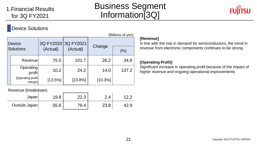# Business Segment Information[3Q]



### **Device Solutions**

|                            | (Billions of yen)             |                      |         |         |       |  |  |  |
|----------------------------|-------------------------------|----------------------|---------|---------|-------|--|--|--|
| Device<br><b>Solutions</b> |                               | 3Q FY2020 3Q FY2021  |         |         |       |  |  |  |
|                            |                               | (Actual)<br>(Actual) |         | Change  | (% )  |  |  |  |
|                            | Revenue                       | 75.5                 | 101.7   | 26.2    | 34.8  |  |  |  |
|                            | Operating<br>profit           | 10.2                 | 24.2    | 14.0    | 137.2 |  |  |  |
|                            | [Operating profit]<br>margin] | [13.5%]              | [23.8%] | [10.3%] |       |  |  |  |

Revenue (breakdown)

| Japan         | 19.8 | 22.3 | 4    |      |
|---------------|------|------|------|------|
| Outside Japan | 55.6 | 79.4 | 23.8 | I2.9 |

### **[Revenue]**

In line with the rise in demand for semiconductors, the trend in revenue from electronic components continues to be strong

### **[Operating Profit]**

Significant increase in operating profit because of the impact of higher revenue and ongoing operational improvements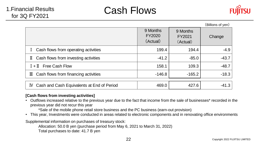



|                                                      |                                       |                                | (Billions of yen) |
|------------------------------------------------------|---------------------------------------|--------------------------------|-------------------|
|                                                      | 9 Months<br><b>FY2020</b><br>(Actual) | 9 Months<br>FY2021<br>(Actual) | Change            |
| Cash flows from operating activities<br>$\mathbf{I}$ | 199.4                                 | 194.4                          | $-4.9$            |
| Cash flows from investing activities<br>Ш            | $-41.2$                               | $-85.0$                        | $-43.7$           |
| $I + II$ Free Cash Flow                              | 158.1                                 | 109.3                          | $-48.7$           |
| $\mathbb{I}$ Cash flows from financing activities    | $-146.8$                              | $-165.2$                       | $-18.3$           |
| Cash and Cash Equivalents at End of Period<br>IV     | 469.0                                 | 427.6                          | $-41.3$           |

### **[Cash flows from investing activities]**

• Outflows increased relative to the previous year due to the fact that income from the sale of businesses\* recorded in the previous year did not recur this year

\*Sale of the mobile phone retail store business and the PC business (earn-out provision)

• This year, Investments were conducted in areas related to electronic components and in renovating office environments

Supplemental information on purchases of treasury stock:

Allocation: 50.0 B yen (purchase period from May 6, 2021 to March 31, 2022)

Total purchases to date: 41.7 B yen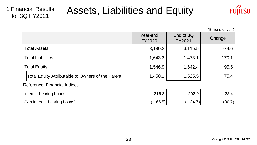

(Billions of yen)

|                                                   | Year-end<br>FY2020 | End of 3Q<br>FY2021 | Change   |
|---------------------------------------------------|--------------------|---------------------|----------|
| <b>Total Assets</b>                               | 3,190.2            | 3,115.5             | $-74.6$  |
| <b>Total Liabilities</b>                          | 1,643.3            | 1,473.1             | $-170.1$ |
| <b>Total Equity</b>                               | 1,546.9            | 1,642.4             | 95.5     |
| Total Equity Attributable to Owners of the Parent | 1,450.1            | 1,525.5             | 75.4     |
| Reference: Financial Indices                      |                    |                     |          |

| Interest-bearing Loans       | 316.3      | 292.9      | $-23.4$ |
|------------------------------|------------|------------|---------|
| (Net Interest-bearing Loans) | $(-165.5)$ | $(-134.7)$ | (30.7)  |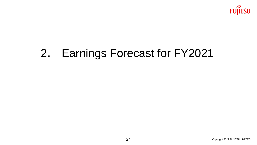

# . Earnings Forecast for FY2021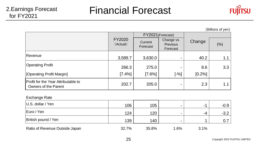

(Billions of yen)

|                                                             |                           |                     | FY2021 (Forecast)                  |        |     |
|-------------------------------------------------------------|---------------------------|---------------------|------------------------------------|--------|-----|
|                                                             | <b>FY2020</b><br>(Actual) | Current<br>Forecast | Change vs.<br>Previous<br>Forecast |        | (%) |
| Revenue                                                     | 3,589.7                   | 3,630.0             |                                    | 40.2   | 1.1 |
| <b>Operating Profit</b>                                     | 266.3                     | 275.0               | ٠                                  | 8.6    | 3.3 |
| [Operating Profit Margin]                                   | [7.4%]                    | $[7.6\%]$           | $[-%]$                             | [0.2%] |     |
| Profit for the Year Attributable to<br>Owners of the Parent | 202.7                     | 205.0               |                                    | 2.3    | 1.1 |

#### Exchange Rate

| $ U.S.$ dollar / Yen           |       |       |                |      |        |
|--------------------------------|-------|-------|----------------|------|--------|
|                                | 106   | 105   | -              | -    | -0.9   |
| Euro / Yen                     | 124   | 120   | $\blacksquare$ | -4   | $-3.2$ |
| <b>British pound / Yen</b>     | 139   | 140   | -              |      | 0.7    |
| Ratio of Revenue Outside Japan | 32.7% | 35.8% | 1.6%           | 3.1% |        |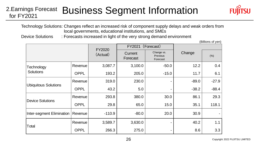### Business Segment Information 2.Earnings Forecast for FY2021



(Billions of yen)

Technology Solutions: Changes reflect an increased risk of component supply delays and weak orders from local governments, educational institutions, and SMEs

Device Solutions : Forecasts increased in light of the very strong demand environment

|                                |             | FY2020   | FY2021              | (Forecast)                         |         | וייט נייט שווטווישן |
|--------------------------------|-------------|----------|---------------------|------------------------------------|---------|---------------------|
|                                |             | (Actual) | Current<br>Forecast | Change vs.<br>Previous<br>Forecast | Change  | $(\%)$              |
| Technology<br><b>Solutions</b> | Revenue     | 3,087.7  | 3,100.0             | $-50.0$                            | 12.2    | 0.4                 |
|                                | <b>OPPL</b> | 193.2    | 205.0               | $-15.0$                            | 11.7    | 6.1                 |
| <b>Ubiquitous Solutions</b>    | Revenue     | 319.0    | 230.0               |                                    | $-89.0$ | $-27.9$             |
|                                | <b>OPPL</b> | 43.2     | 5.0                 |                                    | $-38.2$ | $-88.4$             |
| <b>Device Solutions</b>        | Revenue     | 293.8    | 380.0               | 30.0                               | 86.1    | 29.3                |
|                                | <b>OPPL</b> | 29.8     | 65.0                | 15.0                               | 35.1    | 118.1               |
| Inter-segment Elimination      | Revenue     | $-110.9$ | $-80.0$             | 20.0                               | 30.9    |                     |
|                                | Revenue     | 3,589.7  | 3,630.0             |                                    | 40.2    | 1.1                 |
| Total                          | <b>OPPL</b> | 266.3    | 275.0               |                                    | 8.6     | 3.3                 |

Copyright 2022 FUJITSU LIMITED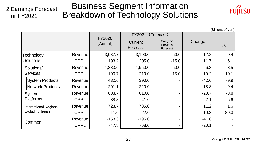#### Business Segment Information Breakdown of Technology Solutions 2.Earnings Forecast for FY2021



(Billions of yen)

|                              |             | <b>FY2020</b> | FY2021 (Forecast)   |                                           |         |        |
|------------------------------|-------------|---------------|---------------------|-------------------------------------------|---------|--------|
|                              |             | (Actual)      | Current<br>Forecast | Change vs.<br><b>Previous</b><br>Forecast | Change  | (% )   |
| Technology                   | Revenue     | 3,087.7       | 3,100.0             | $-50.0$                                   | 12.2    | 0.4    |
| <b>Solutions</b>             | <b>OPPL</b> | 193.2         | 205.0               | $-15.0$                                   | 11.7    | 6.1    |
| Solutions/                   | Revenue     | 1,883.6       | 1,950.0             | $-50.0$                                   | 66.3    | 3.5    |
| <b>Services</b>              | <b>OPPL</b> | 190.7         | 210.0               | $-15.0$                                   | 19.2    | 10.1   |
| <b>System Products</b>       | Revenue     | 432.6         | 390.0               |                                           | $-42.6$ | $-9.9$ |
| <b>Network Products</b>      | Revenue     | 201.1         | 220.0               |                                           | 18.8    | 9.4    |
| System                       | Revenue     | 633.7         | 610.0               |                                           | $-23.7$ | $-3.8$ |
| <b>Platforms</b>             | <b>OPPL</b> | 38.8          | 41.0                |                                           | 2.1     | 5.6    |
| <b>International Regions</b> | Revenue     | 723.7         | 735.0               |                                           | 11.2    | 1.6    |
| Excluding Japan              | <b>OPPL</b> | 11.6          | 22.0                |                                           | 10.3    | 89.3   |
|                              | Revenue     | $-153.3$      | $-195.0$            |                                           | $-41.6$ |        |
| Common                       | <b>OPPL</b> | $-47.8$       | $-68.0$             |                                           | $-20.1$ |        |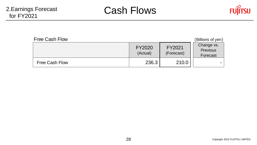

| <b>Free Cash Flow</b> | (Billions of yen)  |                      |                                           |
|-----------------------|--------------------|----------------------|-------------------------------------------|
|                       | FY2020<br>(Actual) | FY2021<br>(Forecast) | Change vs.<br><b>Previous</b><br>Forecast |
| Free Cash Flow        | 236.3              | 210.0                |                                           |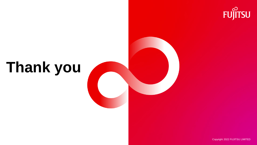

# **Thank you**

Copyright 2022 FUJITSU LIMITED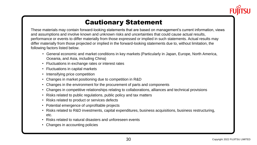

## Cautionary Statement

These materials may contain forward-looking statements that are based on management's current information, views and assumptions and involve known and unknown risks and uncertainties that could cause actual results, performance or events to differ materially from those expressed or implied in such statements. Actual results may differ materially from those projected or implied in the forward-looking statements due to, without limitation, the following factors listed below.

- General economic and market conditions in key markets (Particularly in Japan, Europe, North America, Oceania, and Asia, including China)
- Fluctuations in exchange rates or interest rates
- Fluctuations in capital markets
- Intensifying price competition
- Changes in market positioning due to competition in R&D
- Changes in the environment for the procurement of parts and components
- Changes in competitive relationships relating to collaborations, alliances and technical provisions
- Risks related to public regulations, public policy and tax matters
- Risks related to product or services defects
- Potential emergence of unprofitable projects
- Risks related to R&D investments, capital expenditures, business acquisitions, business restructuring, etc.
- Risks related to natural disasters and unforeseen events
- Changes in accounting policies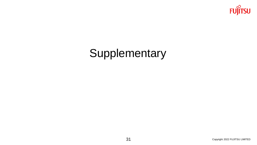

# **Supplementary**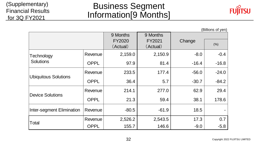### (Supplementary) Financial Results for 3Q FY2021

# Business Segment Information[9 Months]



|                                |             |          |          |         | (Billions of yen) |
|--------------------------------|-------------|----------|----------|---------|-------------------|
|                                |             | 9 Months | 9 Months |         |                   |
|                                |             | FY2020   | FY2021   | Change  | (% )              |
|                                |             | (Actual) | (Actual) |         |                   |
| Technology<br><b>Solutions</b> | Revenue     | 2,159.0  | 2,150.9  | $-8.0$  | $-0.4$            |
|                                | <b>OPPL</b> | 97.9     | 81.4     | $-16.4$ | $-16.8$           |
|                                | Revenue     | 233.5    | 177.4    | $-56.0$ | $-24.0$           |
| <b>Ubiquitous Solutions</b>    | <b>OPPL</b> | 36.4     | 5.7      | $-30.7$ | $-84.2$           |
| <b>Device Solutions</b>        | Revenue     | 214.1    | 277.0    | 62.9    | 29.4              |
|                                | <b>OPPL</b> | 21.3     | 59.4     | 38.1    | 178.6             |
| Inter-segment Elimination      | Revenue     | $-80.5$  | $-61.9$  | 18.5    |                   |
| Total                          | Revenue     | 2,526.2  | 2,543.5  | 17.3    | 0.7               |
|                                | <b>OPPL</b> | 155.7    | 146.6    | $-9.0$  | $-5.8$            |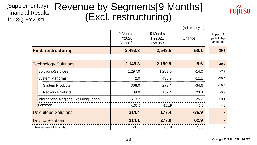#### Revenue by Segments[9 Months] (Excl. restructuring) (Supplementary) Financial Results for 3Q FY2021



|                                       | (Billions of yen)              |                                |         |                                      |  |  |  |  |
|---------------------------------------|--------------------------------|--------------------------------|---------|--------------------------------------|--|--|--|--|
|                                       | 9 Months<br>FY2020<br>(Actual) | 9 Months<br>FY2021<br>(Actual) | Change  | Impact of<br>global chip<br>shortage |  |  |  |  |
| <b>Excl. restructuring</b>            | 2,493.3                        | 2,543.5                        | 50.1    | $-39.7$                              |  |  |  |  |
| <b>Technology Solutions</b>           | 2,145.3                        | 2,150.9                        | 5.6     | $-39.7$                              |  |  |  |  |
| Solutions/Services                    | 1,297.0                        | 1,283.0                        | $-14.0$ | $-7.9$                               |  |  |  |  |
| <b>System Platforms</b>               | 442.0                          | 430.9                          | $-11.1$ | $-26.4$                              |  |  |  |  |
| <b>System Products</b>                | 308.0                          | 273.4                          | $-34.6$ | $-16.4$                              |  |  |  |  |
| <b>Network Products</b>               | 134.0                          | 157.4                          | 23.4    | $-9.9$                               |  |  |  |  |
| International Regions Excluding Japan | 513.7                          | 538.9                          | 25.2    | $-10.1$                              |  |  |  |  |
| Common                                | $-107.5$                       | $-101.9$                       | 5.6     | 4.8                                  |  |  |  |  |
| <b>Ubiquitous Solutions</b>           | 214.4                          | 177.4                          | $-36.9$ |                                      |  |  |  |  |
| <b>Device Solutions</b>               | 214.1                          | 277.0                          | 62.9    |                                      |  |  |  |  |
| Inter-segment Elimination             | $-80.5$                        | $-61.9$                        | 18.5    |                                      |  |  |  |  |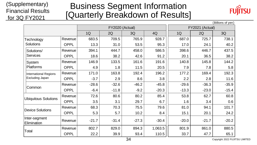### (Supplementary) Financial Results for 3Q FY2021

# Business Segment Information [Quarterly Breakdown of Results]



|                              |             |         |                 |         |         |         |                 | (Billions of yen) |
|------------------------------|-------------|---------|-----------------|---------|---------|---------|-----------------|-------------------|
|                              |             |         | FY2020 (Actual) |         |         |         | FY2021 (Actual) |                   |
|                              |             | 1Q      | 2Q              | 3Q      | 4Q      | 1Q      | 2Q              | 3Q                |
| Technology                   | Revenue     | 683.5   | 709.5           | 765.9   | 928.7   | 687.0   | 725.7           | 738.1             |
| Solutions                    | <b>OPPL</b> | 13.3    | 31.0            | 53.5    | 95.3    | 17.0    | 24.1            | 40.2              |
| Solutions/                   | Revenue     | 394.1   | 444.7           | 458.0   | 586.5   | 398.6   | 446.7           | 437.5             |
| <b>Services</b>              | <b>OPPL</b> | 18.6    | 38.2            | 42.6    | 91.2    | 20.1    | 36.5            | 38.2              |
| System                       | Revenue     | 146.9   | 133.5           | 161.6   | 191.6   | 140.8   | 145.8           | 144.2             |
| <b>Platforms</b>             | <b>OPPL</b> | 4.9     | 1.8             | 11.5    | 20.5    | 7.9     | 7.8             | 5.8               |
| <b>International Regions</b> | Revenue     | 171.0   | 163.8           | 192.4   | 196.2   | 177.2   | 169.4           | 192.3             |
| Excluding Japan              | <b>OPPL</b> | $-3.7$  | 2.9             | 8.6     | 3.8     | 2.2     | 2.8             | 11.6              |
|                              | Revenue     | $-28.6$ | $-32.6$         | $-46.2$ | $-45.8$ | $-29.6$ | $-36.3$         | $-35.9$           |
| Common                       | <b>OPPL</b> | $-6.4$  | $-11.8$         | $-9.2$  | $-20.3$ | $-13.3$ | $-23.0$         | $-15.4$           |
|                              | Revenue     | 72.6    | 80.6            | 80.2    | 85.4    | 53.8    | 62.7            | 60.8              |
| <b>Ubiquitous Solutions</b>  | <b>OPPL</b> | 3.5     | 3.1             | 29.7    | 6.7     | 1.6     | 3.4             | 0.6               |
| <b>Device Solutions</b>      | Revenue     | 68.3    | 70.3            | 75.5    | 79.6    | 81.0    | 94.1            | 101.7             |
|                              | <b>OPPL</b> | 5.3     | 5.7             | 10.2    | 8.4     | 15.1    | 20.1            | 24.2              |
| Inter-segment<br>Elimination | Revenue     | $-21.7$ | $-31.4$         | $-27.3$ | $-30.4$ | $-20.0$ | $-21.7$         | $-20.2$           |
| Total                        | Revenue     | 802.7   | 829.0           | 894.3   | 1,063.5 | 801.9   | 861.0           | 880.5             |
|                              | <b>OPPL</b> | 22.2    | 39.9            | 93.4    | 110.5   | 33.7    | 47.7            | 65.1              |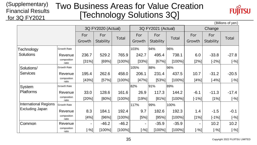#### (Supplementary) Financial Results for 3Q FY2021 Two Business Areas for Value Creation [Technology Solutions 3Q]



(Billions of yen)

|                              |                      |          |                    |              |        |                    |           |         |                  | , ווט אן וט טווטווען |
|------------------------------|----------------------|----------|--------------------|--------------|--------|--------------------|-----------|---------|------------------|----------------------|
|                              |                      |          | 3Q FY2020 (Actual) |              |        | 3Q FY2021 (Actual) |           |         | Change           |                      |
|                              |                      | For      | For                | <b>Total</b> | For    | For                | Total     | For     | For              | <b>Total</b>         |
|                              |                      | Growth   | <b>Stability</b>   |              | Growth | <b>Stability</b>   |           | Growth  | <b>Stability</b> |                      |
| Technology                   | <b>Growth Rate</b>   |          |                    |              | 103%   | 94%                | 96%       |         |                  |                      |
| <b>Solutions</b>             | Revenue              | 236.7    | 529.2              | 765.9        | 242.7  | 495.4              | 738.1     | 6.0     | $-33.8$          | $-27.8$              |
|                              | composition<br>ratio | $ 31\% $ | [69%]              | [100%]       | [33%]  | [67%]              | $[100\%]$ | $[2\%]$ | $[-2%]$          | $[-%]$               |
| Solutions/                   | <b>Growth Rate</b>   |          |                    |              | 105%   | 88%                | 96%       |         |                  |                      |
| <b>Services</b>              | Revenue              | 195.4    | 262.6              | 458.0        | 206.1  | 231.4              | 437.5     | 10.7    | $-31.2$          | $-20.5$              |
|                              | composition<br>ratio | [43%]    | [57%]              | [100%]       | [47%]  | [53%]              | [100%]    | [4%]    | $[-4%]$          | $[-%]$               |
| <b>System</b>                | <b>Growth Rate</b>   |          |                    |              | 82%    | 91%                | 89%       |         |                  |                      |
| <b>Platforms</b>             | Revenue              | 33.0     | 128.6              | 161.6        | 26.9   | 117.3              | 144.2     | $-6.1$  | $-11.3$          | $-17.4$              |
|                              | composition<br>ratio | [20%]    | [80%]              | [100%]       | [19%]  | [81%]              | [100%]    | $[-1%]$ | $[1\%]$          | $[-%]$               |
| <b>International Regions</b> | Growth Rate          |          |                    |              | 117%   | 99%                | 100%      |         |                  |                      |
| Excluding Japan              | Revenue              | 8.3      | 184.1              | 192.4        | 9.7    | 182.6              | 192.3     | 1.4     | $-1.5$           | $-0.1$               |
|                              | composition<br>ratio | [4%]     | [96%]              | [100%]       | [5%]   | [95%]              | $[100\%]$ | $[1\%]$ | $[-1%]$          | $[-%]$               |
| Common                       | Revenue              | ۰        | $-46.2$            | $-46.2$      | ۰.     | $-35.9$            | $-35.9$   |         | 10.2             | 10.2                 |
|                              | composition<br>ratio | $[-%]$   | $[100\%]$          | [100%]       | [-%]   | $[100\%]$          | $[100\%]$ | $[-%]$  | $[-%]$           | $[-%]$               |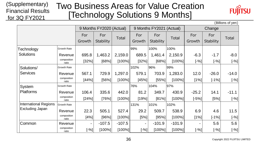#### (Supplementary) Financial Results for 3Q FY2021 Two Business Areas for Value Creation [Technology Solutions 9 Months]



(Billions of yen)

|                              |                      |                |                          |              |            |                          |              |                     |                  | , ווטיע וטוווש |
|------------------------------|----------------------|----------------|--------------------------|--------------|------------|--------------------------|--------------|---------------------|------------------|----------------|
|                              |                      |                | 9 Months FY2020 (Actual) |              |            | 9 Months FY2021 (Actual) |              |                     | Change           |                |
|                              |                      | For            | For                      | <b>Total</b> | For        | For                      | <b>Total</b> | For                 | For              | Total          |
|                              |                      | Growth         | <b>Stability</b>         |              | Growth     | <b>Stability</b>         |              | Growth              | <b>Stability</b> |                |
| Technology                   | <b>Growth Rate</b>   |                |                          |              | 99%        | 100%                     | 100%         |                     |                  |                |
| Solutions                    | Revenue              | 695.8          | 1,463.2                  | 2,159.0      | 689.5      | 1,461.4                  | 2,150.9      | $-6.3$              | $-1.7$           | $-8.0$         |
|                              | composition<br>ratio | [32%]          | [68%]                    | [100%]       | [32%]      | [68%]                    | $[100\%]$    | $\left[-\% \right]$ | $[ -96 ]$        | $[-%]$         |
| Solutions/                   | <b>Growth Rate</b>   |                |                          |              | 102%       | 96%                      | 99%          |                     |                  |                |
| <b>Services</b>              | Revenue              | 567.1          | 729.9                    | 1,297.0      | 579.1      | 703.9                    | 1,283.0      | 12.0                | $-26.0$          | $-14.0$        |
|                              | composition<br>ratio | [44%]          | $[56\%]$                 | [100%]       | [45%]      | [55%]                    | [100%]       | $[1\%]$             | $[-1%]$          | $[-%]$         |
| System                       | <b>Growth Rate</b>   |                |                          |              | 76%        | 104%                     | 97%          |                     |                  |                |
| <b>Platforms</b>             | Revenue              | 106.4          | 335.6                    | 442.0        | 81.2       | 349.7                    | 430.9        | $-25.2$             | 14.1             | $-11.1$        |
|                              | composition<br>ratio | [24%]          | [76%]                    | [100%]       | [19%]      | [81%]                    | $[100\%]$    | $[-5\%]$            | $[5\%]$          | [-%]           |
| <b>International Regions</b> | <b>Growth Rate</b>   |                |                          |              | 131%       | 101%                     | 102%         |                     |                  |                |
| Excluding Japan              | Revenue              | 22.3           | 505.1                    | 527.4        | 29.2       | 509.7                    | 538.9        | 6.9                 | 4.6              | 11.5           |
|                              | composition<br>ratio | [4%]           | [96%]                    | $[100\%]$    | [5%]       | [95%]                    | [100%]       | $[1\%]$             | $[-1%]$          | [-%]           |
| Common                       | Revenue              | $\blacksquare$ | $-107.5$                 | $-107.5$     | ۰          | $-101.9$                 | $-101.9$     |                     | 5.6              | 5.6            |
|                              | composition<br>ratio | $[-%]$         | $[100\%]$                | [100%]       | $[^{-96}]$ | [100%]                   | [100%]       | $[-%]$              | $[-%]$           | $[-%]$         |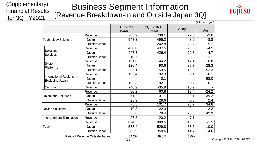#### (Supplementary) Financial Results for 3Q FY2021 Business Segment Information [Revenue Breakdown-In and Outside Japan 3Q]



|                                                 |                                |                       |                       |         | (Billions of yen) |
|-------------------------------------------------|--------------------------------|-----------------------|-----------------------|---------|-------------------|
|                                                 |                                | 3Q FY2020<br>(Actual) | 3Q FY2021<br>(Actual) | Change  | (%)               |
|                                                 | Revenue                        | 765.9                 | 738.1                 | $-27.8$ | $-3.6$            |
| <b>Technology Solutions</b>                     | Japan                          | 543.3                 | 495.2                 | $-48.0$ | $-8.8$            |
|                                                 | Outside Japan                  | 222.5                 | 242.8                 | 20.2    | 9.1               |
|                                                 | Revenue                        | 458.0                 | 437.5                 | $-20.5$ | $-4.5$            |
| Solutions/<br>Services                          | Japan                          | 447.3                 | 426.4                 | $-20.8$ | $-4.7$            |
|                                                 | Outside Japan                  | 10.7                  | 11.1                  | 0.3     | 3.1               |
|                                                 | Revenue                        | 161.6                 | 144.2                 | $-17.4$ | $-10.8$           |
| System<br>Platforms                             | Japan                          | 126.4                 | 90.6                  | $-35.7$ | $-28.3$           |
|                                                 | Outside Japan                  | 35.1                  | 53.5                  | 18.3    | 52.3              |
| <b>International Regions</b><br>Excluding Japan | Revenue                        | 192.4                 | 192.3                 | $-0.1$  | $-0.1$            |
|                                                 | Japan                          |                       | 0.1                   |         | 98.0              |
|                                                 | Outside Japan                  | 192.3                 | 192.1                 | $-0.2$  | $-0.1$            |
| Common                                          | Revenue                        | $-46.2$               | $-35.9$               | 10.2    |                   |
|                                                 | Revenue                        | 80.2                  | 60.8                  | $-19.4$ | $-24.2$           |
| <b>Ubiquitous Solutions</b>                     | Japan                          | 51.2                  | 31.1                  | $-20.1$ | $-39.2$           |
|                                                 | Outside Japan                  | 28.9                  | 29.6                  | 0.6     | 2.4               |
|                                                 | Revenue                        | 75.5                  | 101.7                 | 26.2    | 34.8              |
| <b>Device Solutions</b>                         | Japan                          | 19.8                  | 22.3                  | 2.4     | 12.2              |
|                                                 | Outside Japan                  | 55.6                  | 79.4                  | 23.8    | 42.9              |
| Inter-segment Elimination                       | Revenue                        | $-27.3$               | $-20.2$               | 7.1     |                   |
|                                                 | Revenue                        | 894.3                 | 880.5                 | $-13.8$ | $-1.5$            |
| Total                                           | Japan                          | 588.4                 | 529.8                 | $-58.5$ | $-10.0$           |
|                                                 | Outside Japan                  | 305.9                 | 350.6                 | 44.7    | 14.6              |
|                                                 | Ratio of Revenue Outside Japan | 34.2%                 | 39.8%                 | 5.6%    |                   |

Copyright 2022 FUJITSU LIMITED

37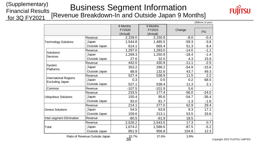#### (Supplementary) Financial Results for 3Q FY2021 Business Segment Information [Revenue Breakdown-In and Outside Japan 9 Months]



|                              |                                |                    |                    |         | (Billions of yen) |
|------------------------------|--------------------------------|--------------------|--------------------|---------|-------------------|
|                              |                                | 9 Months<br>FY2020 | 9 Months<br>FY2021 | Change  | (%)               |
|                              |                                | (Actual)           | (Actual)           |         |                   |
|                              | Revenue                        | 2,159.0            | 2,150.9            | $-8.0$  | $-0.4$            |
| <b>Technology Solutions</b>  | Japan                          | 1,544.8            | 1,485.5            | $-59.3$ | $-3.8$            |
|                              | Outside Japan                  | 614.1              | 665.4              | 51.3    | 8.4               |
| Solutions/                   | Revenue                        | 1,297.0            | 1,283.0            | $-14.0$ | $-1.1$            |
| Services                     | Japan                          | 1,269.3            | 1,250.9            | $-18.4$ | $-1.4$            |
|                              | Outside Japan                  | 27.6               | 32.0               | 4.3     | 15.9              |
|                              | Revenue                        | 442.0              | 430.9              | $-11.1$ | $-2.5$            |
| System                       | Japan                          | 353.2              | 298.2              | $-54.9$ | $-15.6$           |
| Platforms                    | Outside Japan                  | 88.8               | 132.6              | 43.7    | 49.3              |
| <b>International Regions</b> | Revenue                        | 527.4              | 538.9              | 11.5    | $\overline{2.2}$  |
|                              | Japan                          | 0.3                | 0.5                | 0.2     | 68.5              |
| Excluding Japan              | Outside Japan                  | 527.1              | 538.4              | 11.3    | 2.1               |
| Common                       | Revenue                        | $-107.5$           | $-101.9$           | 5.6     |                   |
|                              | Revenue                        | 233.5              | 177.4              | $-56.0$ | $-24.0$           |
| <b>Ubiquitous Solutions</b>  | Japan                          | 150.4              | 95.6               | $-54.7$ | $-36.4$           |
|                              | Outside Japan                  | 83.0               | 81.7               | $-1.3$  | $-1.6$            |
|                              | Revenue                        | 214.1              | 277.0              | 62.9    | 29.4              |
| <b>Device Solutions</b>      | Japan                          | 54.5               | 63.8               | 9.3     | 17.1              |
|                              | Outside Japan                  | 159.6              | 213.1              | 53.5    | 33.6              |
| Inter-segment Elimination    | Revenue                        | $-80.5$            | $-61.9$            | 18.5    |                   |
|                              | Revenue                        | 2,526.2            | 2,543.5            | 17.3    | 0.7               |
| Total                        | Japan                          | 1,674.2            | 1,586.6            | $-87.5$ | $-5.2$            |
|                              | Outside Japan                  | 851.9              | 956.8              | 104.8   | 12.3              |
|                              | Ratio of Revenue Outside Japan | 33.7%              | 37.6%              | 3.9%    |                   |

38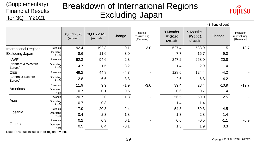### Financial Results Breakdown of International Regions Excluding Japan



|                                | (Billions of yen)   |                       |                       |        |                                         |                                |                                |         |                                         |
|--------------------------------|---------------------|-----------------------|-----------------------|--------|-----------------------------------------|--------------------------------|--------------------------------|---------|-----------------------------------------|
|                                |                     | 3Q FY2020<br>(Actual) | 3Q FY2021<br>(Actual) | Change | Impact of<br>restructuring<br>[Revenue] | 9 Months<br>FY2020<br>(Actual) | 9 Months<br>FY2021<br>(Actual) | Change  | Impact of<br>restructuring<br>[Revenue] |
| International Regions          | Revenue             | 192.4                 | 192.3                 | $-0.1$ | $-3.0$                                  | 527.4                          | 538.9                          | 11.5    | $-13.7$                                 |
| <b>Excluding Japan</b>         | Operating<br>Profit | 8.6                   | 11.6                  | 3.0    |                                         | 7.7                            | 16.7                           | 9.0     |                                         |
| <b>NWE</b>                     | Revenue             | 92.3                  | 94.6                  | 2.3    |                                         | 247.2                          | 268.0                          | 20.8    |                                         |
| [Northern & Western<br>Europe] | Operating<br>Profit | 4.7                   | 1.5                   | $-3.2$ |                                         | 1.4                            | 2.9                            | 1.4     |                                         |
| <b>CEE</b>                     | Revenue             | 49.2                  | 44.8                  | $-4.3$ |                                         | 128.6                          | 124.4                          | $-4.2$  |                                         |
| [Central & Eastern<br>Europe]  | Operating<br>Profit | 2.8                   | 6.6                   | 3.8    |                                         | 2.6                            | 6.8                            | 4.2     |                                         |
|                                | Revenue             | 11.9                  | 9.9                   | $-1.9$ | $-3.0$                                  | 39.4                           | 28.4                           | $-10.9$ | $-12.7$                                 |
| Americas                       | Operating<br>Profit | $-0.7$                | $-0.1$                | 0.6    |                                         | $-0.6$                         | 0.7                            | 1.4     |                                         |
| Asia                           | Revenue             | 20.7                  | 22.0                  | 1.3    |                                         | 56.5                           | 59.0                           | 2.5     |                                         |
|                                | Operating<br>Profit | 0.7                   | 0.8                   |        |                                         | 1.4                            | 1.4                            |         |                                         |
| Oceania                        | Revenue             | 17.9                  | 20.3                  | 2.4    |                                         | 54.8                           | 59.3                           | 4.5     |                                         |
|                                | Operating<br>Profit | 0.4                   | 2.3                   | 1.8    |                                         | 1.3                            | 2.8                            | 1.4     |                                         |
|                                | Revenue             | 0.2                   | 0.3                   | 0.1    |                                         | 0.6                            | $-0.5$                         | $-1.1$  | $-0.9$                                  |
| <b>Others</b>                  | Operating<br>Profit | 0.5                   | 0.4                   | $-0.1$ |                                         | 1.5                            | 1.9                            | 0.3     |                                         |

Note: Revenue includes Inter-region revenue.

(Supplementary)

for 3Q FY2021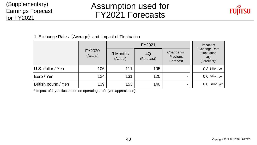### (Supplementary) Earnings Forecast for FY2021

# Assumption used for FY2021 Forecasts



1. Exchange Rates (Average) and Impact of Fluctuation

|                     |                    |                                          | Impact of |                                    |                                                          |  |
|---------------------|--------------------|------------------------------------------|-----------|------------------------------------|----------------------------------------------------------|--|
|                     | FY2020<br>(Actual) | 9 Months<br>4Q<br>(Actual)<br>(Forecast) |           | Change vs.<br>Previous<br>Forecast | <b>Exchange Rate</b><br>Fluctuation<br>4Q<br>(Forecast)* |  |
| U.S. dollar / Yen   | 106                | 111                                      | 105       |                                    | -0.3 Billion yen                                         |  |
| Euro / Yen          | 124                | 131                                      | 120       | $\overline{\phantom{a}}$           | 0.0 Billion yen                                          |  |
| British pound / Yen | 139                | 153                                      | 140       | $\overline{\phantom{a}}$           | 0.0 Billion yen                                          |  |

\* Impact of 1 yen fluctuation on operating profit (yen appreciation).